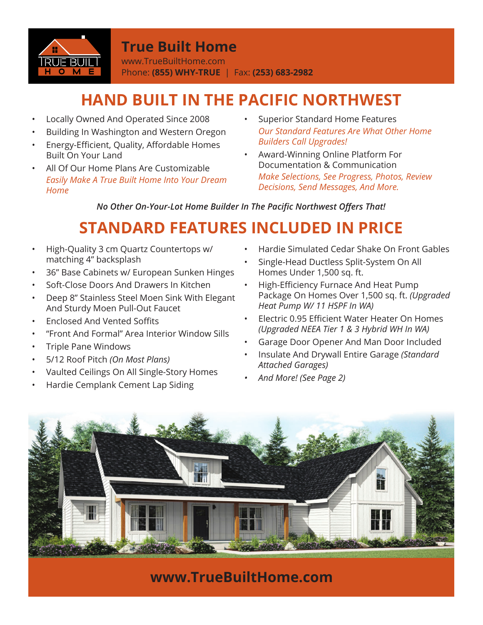

### **True Built Home**

www.TrueBuiltHome.com Phone: **(855) WHY-TRUE** | Fax: **(253) 683-2982**

# **HAND BUILT IN THE PACIFIC NORTHWEST**

- Locally Owned And Operated Since 2008
- Building In Washington and Western Oregon
- Energy-Efficient, Quality, Affordable Homes Built On Your Land
- All Of Our Home Plans Are Customizable *Easily Make A True Built Home Into Your Dream Home*
- Superior Standard Home Features *Our Standard Features Are What Other Home Builders Call Upgrades!*
- Award-Winning Online Platform For Documentation & Communication *Make Selections, See Progress, Photos, Review Decisions, Send Messages, And More.*

**No Other On-Your-Lot Home Builder In The Pacific Northwest Offers That!** 

## **STANDARD FEATURES INCLUDED IN PRICE**

- High-Quality 3 cm Quartz Countertops w/ matching 4" backsplash
- 36" Base Cabinets w/ European Sunken Hinges
- Soft-Close Doors And Drawers In Kitchen
- Deep 8" Stainless Steel Moen Sink With Elegant And Sturdy Moen Pull-Out Faucet
- Enclosed And Vented Soffits
- "Front And Formal" Area Interior Window Sills
- Triple Pane Windows
- 5/12 Roof Pitch *(On Most Plans)*
- Vaulted Ceilings On All Single-Story Homes
- Hardie Cemplank Cement Lap Siding
- Hardie Simulated Cedar Shake On Front Gables
- Single-Head Ductless Split-System On All Homes Under 1,500 sq. ft.
- High-Efficiency Furnace And Heat Pump Package On Homes Over 1,500 sq. ft. *(Upgraded Heat Pump W/ 11 HSPF In WA)*
- Electric 0.95 Efficient Water Heater On Homes *(Upgraded NEEA Tier 1 & 3 Hybrid WH In WA)*
- Garage Door Opener And Man Door Included
- Insulate And Drywall Entire Garage *(Standard Attached Garages)*
- *And More! (See Page 2)*



**www.TrueBuiltHome.com**